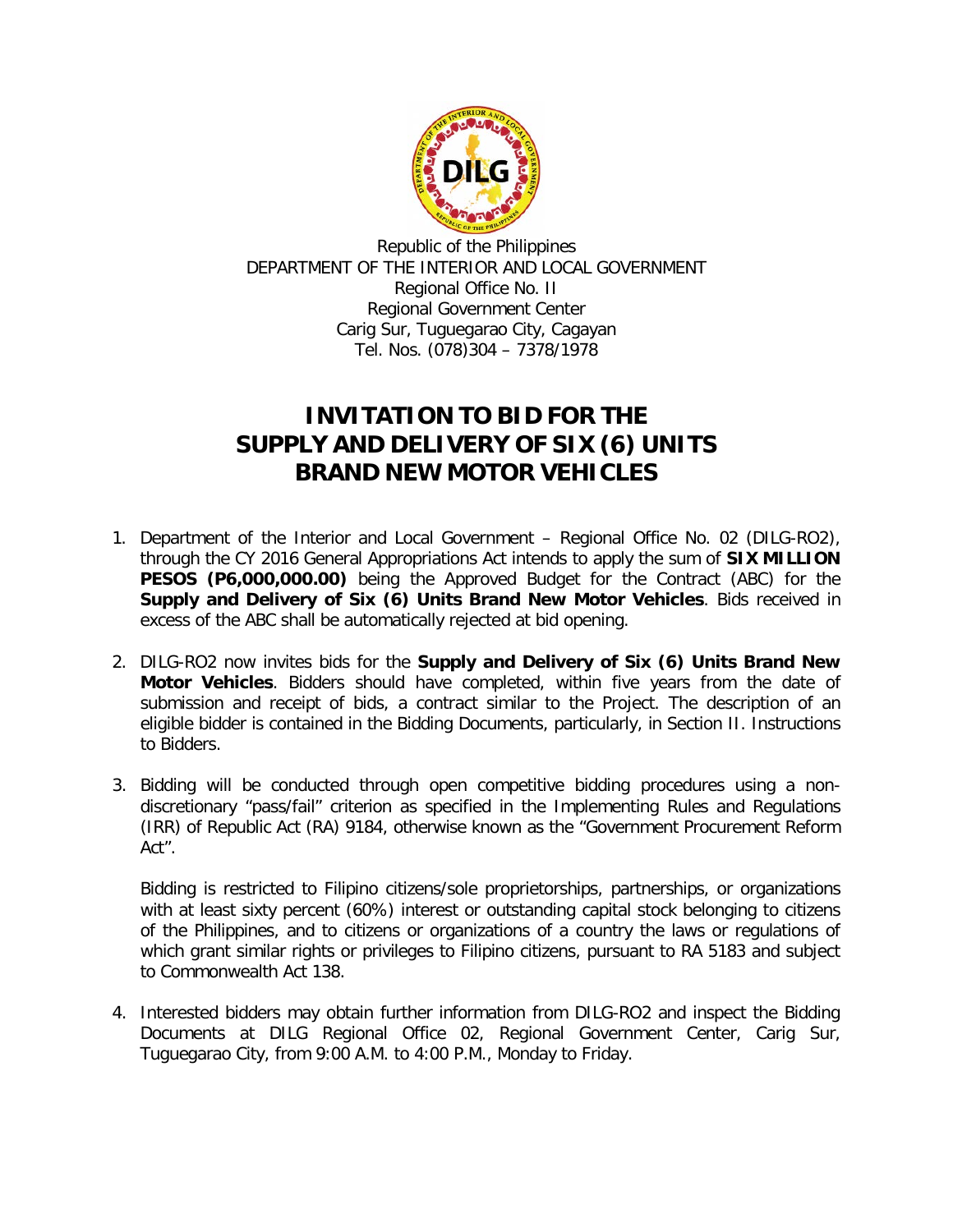

Republic of the Philippines DEPARTMENT OF THE INTERIOR AND LOCAL GOVERNMENT Regional Office No. II Regional Government Center Carig Sur, Tuguegarao City, Cagayan Tel. Nos. (078)304 – 7378/1978

## **INVITATION TO BID FOR THE SUPPLY AND DELIVERY OF SIX (6) UNITS BRAND NEW MOTOR VEHICLES**

- 1. Department of the Interior and Local Government Regional Office No. 02 (DILG-RO2), through the CY 2016 General Appropriations Act intends to apply the sum of **SIX MILLION PESOS (P6,000,000.00)** being the Approved Budget for the Contract (ABC) for the **Supply and Delivery of Six (6) Units Brand New Motor Vehicles**. Bids received in excess of the ABC shall be automatically rejected at bid opening.
- 2. DILG-RO2 now invites bids for the **Supply and Delivery of Six (6) Units Brand New Motor Vehicles**. Bidders should have completed, within five years from the date of submission and receipt of bids, a contract similar to the Project. The description of an eligible bidder is contained in the Bidding Documents, particularly, in Section II. Instructions to Bidders.
- 3. Bidding will be conducted through open competitive bidding procedures using a nondiscretionary "pass/fail" criterion as specified in the Implementing Rules and Regulations (IRR) of Republic Act (RA) 9184, otherwise known as the "Government Procurement Reform Act".

Bidding is restricted to Filipino citizens/sole proprietorships, partnerships, or organizations with at least sixty percent (60%) interest or outstanding capital stock belonging to citizens of the Philippines, and to citizens or organizations of a country the laws or regulations of which grant similar rights or privileges to Filipino citizens, pursuant to RA 5183 and subject to Commonwealth Act 138.

4. Interested bidders may obtain further information from DILG-RO2 and inspect the Bidding Documents at DILG Regional Office 02, Regional Government Center, Carig Sur, Tuguegarao City, from 9:00 A.M. to 4:00 P.M., Monday to Friday.